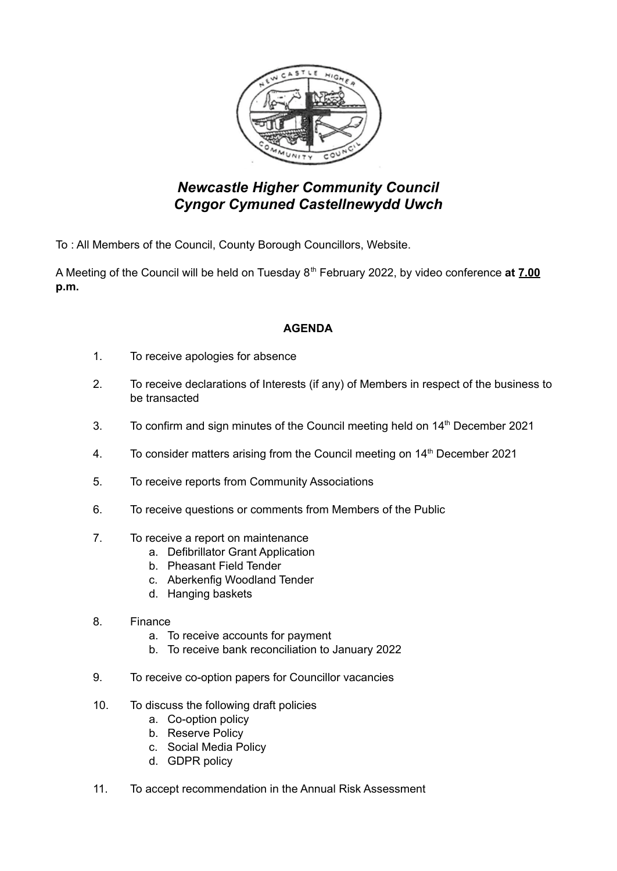

## *Newcastle Higher Community Council Cyngor Cymuned Castellnewydd Uwch*

To : All Members of the Council, County Borough Councillors, Website.

A Meeting of the Council will be held on Tuesday 8 th February 2022, by video conference **at 7.00 p.m.**

## **AGENDA**

- 1. To receive apologies for absence
- 2. To receive declarations of Interests (if any) of Members in respect of the business to be transacted
- 3. To confirm and sign minutes of the Council meeting held on 14<sup>th</sup> December 2021
- 4. To consider matters arising from the Council meeting on 14<sup>th</sup> December 2021
- 5. To receive reports from Community Associations
- 6. To receive questions or comments from Members of the Public
- 7. To receive a report on maintenance
	- a. Defibrillator Grant Application
	- b. Pheasant Field Tender
	- c. Aberkenfig Woodland Tender
	- d. Hanging baskets
- 8. Finance
	- a. To receive accounts for payment
	- b. To receive bank reconciliation to January 2022
- 9. To receive co-option papers for Councillor vacancies
- 10. To discuss the following draft policies
	- a. Co-option policy
	- b. Reserve Policy
	- c. Social Media Policy
	- d. GDPR policy
- 11. To accept recommendation in the Annual Risk Assessment